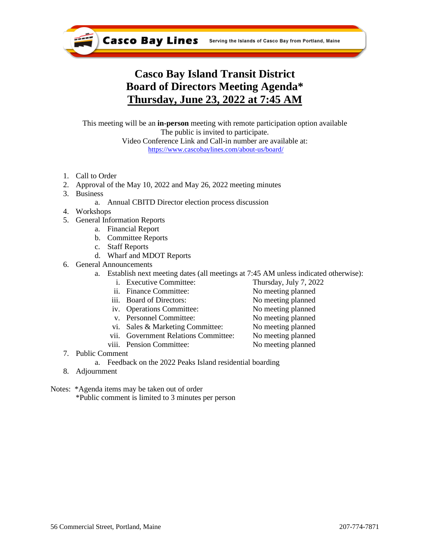

# **Casco Bay Island Transit District Board of Directors Meeting Agenda\* Thursday, June 23, 2022 at 7:45 AM**

This meeting will be an **in-person** meeting with remote participation option available The public is invited to participate. Video Conference Link and Call-in number are available at: <https://www.cascobaylines.com/about-us/board/>

- 1. Call to Order
- 2. Approval of the May 10, 2022 and May 26, 2022 meeting minutes
- 3. Business
	- a. Annual CBITD Director election process discussion
- 4. Workshops
- 5. General Information Reports
	- a. Financial Report
		- b. Committee Reports
		- c. Staff Reports
		- d. Wharf and MDOT Reports
- 6. General Announcements
	- a. Establish next meeting dates (all meetings at 7:45 AM unless indicated otherwise):
		- i. Executive Committee: Thursday, July 7, 2022
		- ii. Finance Committee: No meeting planned
		- iii. Board of Directors: No meeting planned
		- iv. Operations Committee: No meeting planned
		- v. Personnel Committee: No meeting planned
		- vi. Sales & Marketing Committee: No meeting planned
		- vii. Government Relations Committee: No meeting planned
		- viii. Pension Committee: No meeting planned
- 7. Public Comment
	- a. Feedback on the 2022 Peaks Island residential boarding
- 8. Adjournment
- Notes: \*Agenda items may be taken out of order
	- \*Public comment is limited to 3 minutes per person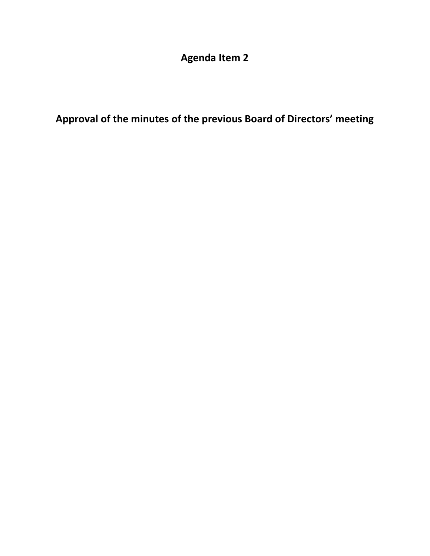**Agenda Item 2**

**Approval of the minutes of the previous Board of Directors' meeting**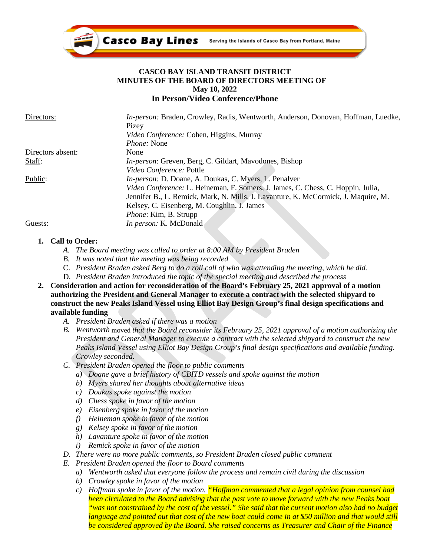

### **CASCO BAY ISLAND TRANSIT DISTRICT MINUTES OF THE BOARD OF DIRECTORS MEETING OF May 10, 2022 In Person/Video Conference/Phone**

| Directors:        | In-person: Braden, Crowley, Radis, Wentworth, Anderson, Donovan, Hoffman, Luedke,  |
|-------------------|------------------------------------------------------------------------------------|
|                   | Pizey                                                                              |
|                   | <i>Video Conference:</i> Cohen, Higgins, Murray                                    |
|                   | <i>Phone:</i> None                                                                 |
| Directors absent: | None                                                                               |
| Staff:            | In-person: Greven, Berg, C. Gildart, Mavodones, Bishop                             |
|                   | Video Conference: Pottle                                                           |
| Public:           | <i>In-person: D. Doane, A. Doukas, C. Myers, L. Penalver</i>                       |
|                   | Video Conference: L. Heineman, F. Somers, J. James, C. Chess, C. Hoppin, Julia,    |
|                   | Jennifer B., L. Remick, Mark, N. Mills, J. Lavanture, K. McCormick, J. Maquire, M. |
|                   | Kelsey, C. Eisenberg, M. Coughlin, J. James                                        |
|                   | <i>Phone:</i> Kim, B. Strupp                                                       |
| Guests:           | In person: K. McDonald                                                             |

## **1. Call to Order:**

- *A. The Board meeting was called to order at 8:00 AM by President Braden*
- *B. It was noted that the meeting was being recorded*
- C. *President Braden asked Berg to do a roll call of who was attending the meeting, which he did.*
- D. *President Braden introduced the topic of the special meeting and described the process*
- **2. Consideration and action for reconsideration of the Board's February 25, 2021 approval of a motion authorizing the President and General Manager to execute a contract with the selected shipyard to construct the new Peaks Island Vessel using Elliot Bay Design Group's final design specifications and available funding**
	- *A. President Braden asked if there was a motion*
	- *B. Wentworth* moved *that the Board reconsider its February 25, 2021 approval of a motion authorizing the President and General Manager to execute a contract with the selected shipyard to construct the new Peaks Island Vessel using Elliot Bay Design Group's final design specifications and available funding. Crowley seconded.*
	- *C. President Braden opened the floor to public comments*
		- *a) Doane gave a brief history of CBITD vessels and spoke against the motion*
		- *b) Myers shared her thoughts about alternative ideas*
		- *c) Doukas spoke against the motion*
		- *d) Chess spoke in favor of the motion*
		- *e) Eisenberg spoke in favor of the motion*
		- *f) Heineman spoke in favor of the motion*
		- *g) Kelsey spoke in favor of the motion*
		- *h) Lavanture spoke in favor of the motion*
		- *i) Remick spoke in favor of the motion*
	- *D. There were no more public comments, so President Braden closed public comment*
	- *E. President Braden opened the floor to Board comments*
		- *a) Wentworth asked that everyone follow the process and remain civil during the discussion*
		- *b) Crowley spoke in favor of the motion*
		- *c) Hoffman spoke in favor of the motion. "Hoffman commented that a legal opinion from counsel had been circulated to the Board advising that the past vote to move forward with the new Peaks boat "was not constrained by the cost of the vessel." She said that the current motion also had no budget language and pointed out that cost of the new boat could come in at \$50 million and that would still be considered approved by the Board. She raised concerns as Treasurer and Chair of the Finance*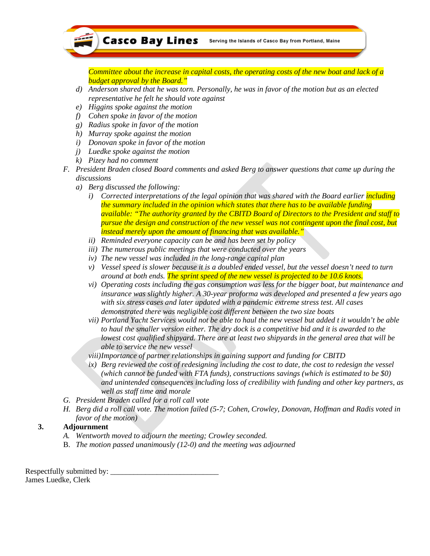

*Committee about the increase in capital costs, the operating costs of the new boat and lack of a budget approval by the Board."*

- *d) Anderson shared that he was torn. Personally, he was in favor of the motion but as an elected representative he felt he should vote against*
- *e) Higgins spoke against the motion*
- *f) Cohen spoke in favor of the motion*
- *g) Radius spoke in favor of the motion*
- *h) Murray spoke against the motion*
- *i) Donovan spoke in favor of the motion*
- *j) Luedke spoke against the motion*
- *k) Pizey had no comment*
- *F. President Braden closed Board comments and asked Berg to answer questions that came up during the discussions*
	- *a) Berg discussed the following:*
		- *i) Corrected interpretations of the legal opinion that was shared with the Board earlier including the summary included in the opinion which states that there has to be available funding available: "The authority granted by the CBITD Board of Directors to the President and staff to pursue the design and construction of the new vessel was not contingent upon the final cost, but instead merely upon the amount of financing that was available."*
		- *ii) Reminded everyone capacity can be and has been set by policy*
		- *iii) The numerous public meetings that were conducted over the years*
		- *iv) The new vessel was included in the long-range capital plan*
		- *v) Vessel speed is slower because it is a doubled ended vessel, but the vessel doesn't need to turn around at both ends. The sprint speed of the new vessel is projected to be 10.6 knots.*
		- *vi) Operating costs including the gas consumption was less for the bigger boat, but maintenance and insurance was slightly higher. A 30-year proforma was developed and presented a few years ago with six stress cases and later updated with a pandemic extreme stress test. All cases demonstrated there was negligible cost different between the two size boats*
		- *vii) Portland Yacht Services would not be able to haul the new vessel but added t it wouldn't be able to haul the smaller version either. The dry dock is a competitive bid and it is awarded to the lowest cost qualified shipyard. There are at least two shipyards in the general area that will be able to service the new vessel*
		- *viii)Importance of partner relationships in gaining support and funding for CBITD*
		- *ix) Berg reviewed the cost of redesigning including the cost to date, the cost to redesign the vessel (which cannot be funded with FTA funds), constructions savings (which is estimated to be \$0) and unintended consequences including loss of credibility with funding and other key partners, as well as staff time and morale*
- *G. President Braden called for a roll call vote*
- *H. Berg did a roll call vote. The motion failed (5-7; Cohen, Crowley, Donovan, Hoffman and Radis voted in favor of the motion)*

## **3. Adjournment**

- *A. Wentworth moved to adjourn the meeting; Crowley seconded.*
- B. *The motion passed unanimously (12-0) and the meeting was adjourned*

Respectfully submitted by: James Luedke, Clerk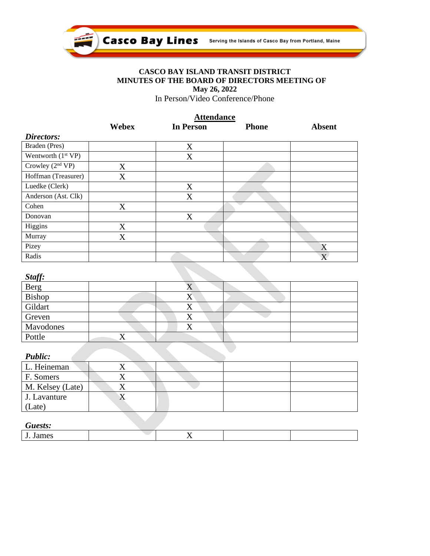

## **CASCO BAY ISLAND TRANSIT DISTRICT MINUTES OF THE BOARD OF DIRECTORS MEETING OF May 26, 2022**

In Person/Video Conference/Phone

|                      | <b>Attendance</b> |                  |              |                         |
|----------------------|-------------------|------------------|--------------|-------------------------|
|                      | Webex             | <b>In Person</b> | <b>Phone</b> | <b>Absent</b>           |
| Directors:           |                   |                  |              |                         |
| Braden (Pres)        |                   | X                |              |                         |
| Wentworth $(1st VP)$ |                   | X                |              |                         |
| Crowley $(2nd VP)$   | X                 |                  |              |                         |
| Hoffman (Treasurer)  | X                 |                  |              |                         |
| Luedke (Clerk)       |                   | X                |              |                         |
| Anderson (Ast. Clk)  |                   | X                |              |                         |
| Cohen                | X                 |                  |              |                         |
| Donovan              |                   | X                |              |                         |
| Higgins              | X                 |                  |              |                         |
| Murray               | X                 |                  |              |                         |
| Pizey                |                   |                  |              | X                       |
| Radis                |                   |                  |              | $\overline{\mathrm{X}}$ |

| TA. |  |
|-----|--|
|     |  |

| Juyj.     |     |  |
|-----------|-----|--|
| Berg      |     |  |
| Bishop    | 4X  |  |
| Gildart   | ∡⊾  |  |
| Greven    | ∡ ⊾ |  |
| Mavodones |     |  |
| Pottle    |     |  |

## *Public:*

| - - - - - - - -  |  |  |
|------------------|--|--|
| L. Heineman      |  |  |
| F. Somers        |  |  |
| M. Kelsey (Late) |  |  |
| J. Lavanture     |  |  |
| (Late)           |  |  |

## *Guests:*

| .                                  |             |  |
|------------------------------------|-------------|--|
| $\sim$<br>$\sim$<br>104222<br>ятне | $ -$<br>. . |  |
|                                    |             |  |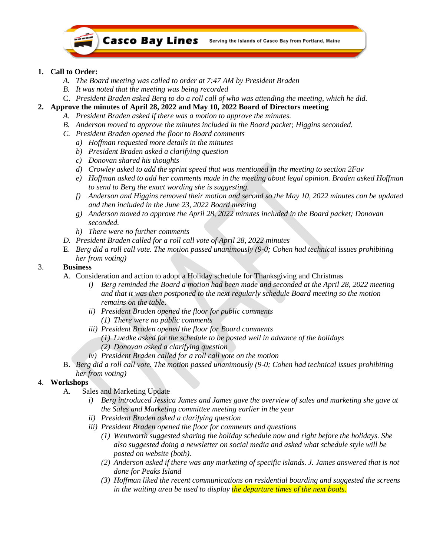

## **1. Call to Order:**

- *A. The Board meeting was called to order at 7:47 AM by President Braden*
- *B. It was noted that the meeting was being recorded*
- C. *President Braden asked Berg to do a roll call of who was attending the meeting, which he did.*
- **2. Approve the minutes of April 28, 2022 and May 10, 2022 Board of Directors meeting**
	- *A. President Braden asked if there was a motion to approve the minutes.*
	- *B. Anderson moved to approve the minutes included in the Board packet; Higgins seconded.*
	- *C. President Braden opened the floor to Board comments*
		- *a) Hoffman requested more details in the minutes*
		- *b) President Braden asked a clarifying question*
		- *c) Donovan shared his thoughts*
		- *d) Crowley asked to add the sprint speed that was mentioned in the meeting to section 2Fav*
		- *e) Hoffman asked to add her comments made in the meeting about legal opinion. Braden asked Hoffman to send to Berg the exact wording she is suggesting.*
		- *f) Anderson and Higgins removed their motion and second so the May 10, 2022 minutes can be updated and then included in the June 23, 2022 Board meeting*
		- *g) Anderson moved to approve the April 28, 2022 minutes included in the Board packet; Donovan seconded.*
		- *h) There were no further comments*
	- *D. President Braden called for a roll call vote of April 28, 2022 minutes*
	- E. *Berg did a roll call vote. The motion passed unanimously (9-0; Cohen had technical issues prohibiting her from voting)*

## 3. **Business**

- A. Consideration and action to adopt a Holiday schedule for Thanksgiving and Christmas
	- *i) Berg reminded the Board a motion had been made and seconded at the April 28, 2022 meeting and that it was then postponed to the next regularly schedule Board meeting so the motion remains on the table.*
	- *ii) President Braden opened the floor for public comments (1) There were no public comments*
	- *iii) President Braden opened the floor for Board comments*
		- *(1) Luedke asked for the schedule to be posted well in advance of the holidays (2) Donovan asked a clarifying question*
	- *iv) President Braden called for a roll call vote on the motion*
- B. *Berg did a roll call vote. The motion passed unanimously (9-0; Cohen had technical issues prohibiting her from voting)*

## 4. **Workshops**

- A. Sales and Marketing Update
	- *i) Berg introduced Jessica James and James gave the overview of sales and marketing she gave at the Sales and Marketing committee meeting earlier in the year*
	- *ii) President Braden asked a clarifying question*
	- *iii) President Braden opened the floor for comments and questions*
		- *(1) Wentworth suggested sharing the holiday schedule now and right before the holidays. She also suggested doing a newsletter on social media and asked what schedule style will be posted on website (both).*
		- *(2) Anderson asked if there was any marketing of specific islands. J. James answered that is not done for Peaks Island*
		- *(3) Hoffman liked the recent communications on residential boarding and suggested the screens in the waiting area be used to display the departure times of the next boats.*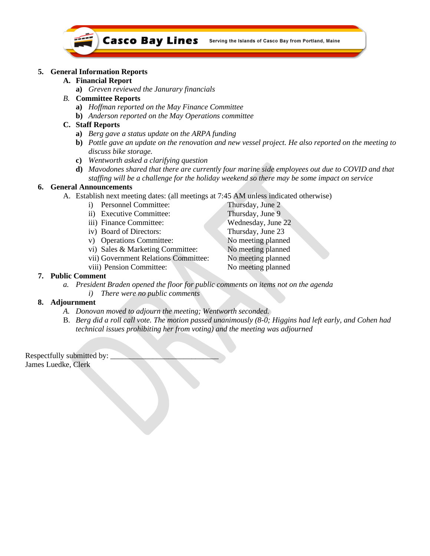

#### **5. General Information Reports**

#### **A. Financial Report**

- **a)** *Greven reviewed the Janurary financials*
- *B.* **Committee Reports**
	- **a)** *Hoffman reported on the May Finance Committee*
	- **b)** *Anderson reported on the May Operations committee*

#### **C. Staff Reports**

- **a)** *Berg gave a status update on the ARPA funding*
- **b)** *Pottle gave an update on the renovation and new vessel project. He also reported on the meeting to discuss bike storage.*
- **c)** *Wentworth asked a clarifying question*
- **d)** *Mavodones shared that there are currently four marine side employees out due to COVID and that staffing will be a challenge for the holiday weekend so there may be some impact on service*

#### **6. General Announcements**

- A. Establish next meeting dates: (all meetings at 7:45 AM unless indicated otherwise)
	- i) Personnel Committee: Thursday, June 2
		- ii) Executive Committee: Thursday, June 9
		- iii) Finance Committee: Wednesday, June 22
		- iv) Board of Directors: Thursday, June 23
		- v) Operations Committee: No meeting planned
		- vi) Sales & Marketing Committee: No meeting planned
		- vii) Government Relations Committee: No meeting planned
	- viii) Pension Committee: No meeting planned

#### **7. Public Comment**

- *a. President Braden opened the floor for public comments on items not on the agenda*
	- *i) There were no public comments*

### **8. Adjournment**

- *A. Donovan moved to adjourn the meeting; Wentworth seconded.*
- B. *Berg did a roll call vote. The motion passed unanimously (8-0; Higgins had left early, and Cohen had technical issues prohibiting her from voting) and the meeting was adjourned*

Respectfully submitted by: James Luedke, Clerk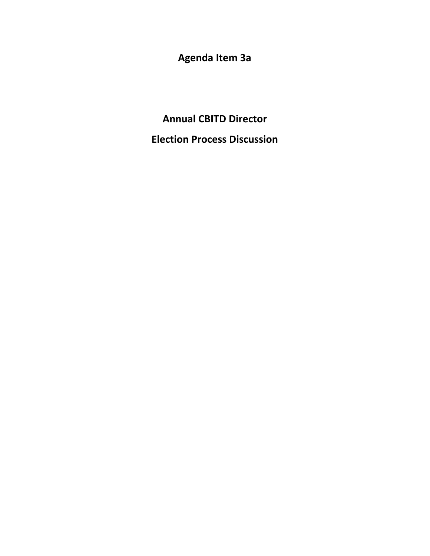**Agenda Item 3a**

**Annual CBITD Director Election Process Discussion**